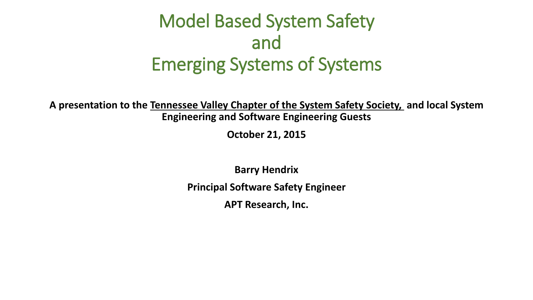### Model Based System Safety and Emerging Systems of Systems

**A presentation to the Tennessee Valley Chapter of the System Safety Society, and local System Engineering and Software Engineering Guests**

**October 21, 2015**

**Barry Hendrix**

**Principal Software Safety Engineer**

**APT Research, Inc.**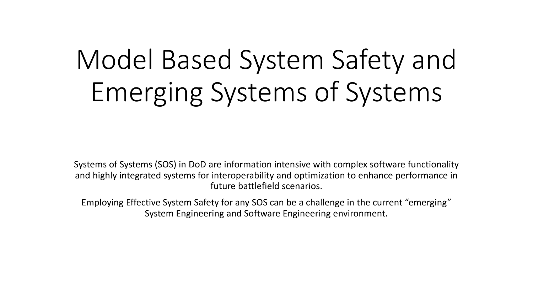# Model Based System Safety and Emerging Systems of Systems

Systems of Systems (SOS) in DoD are information intensive with complex software functionality and highly integrated systems for interoperability and optimization to enhance performance in future battlefield scenarios.

Employing Effective System Safety for any SOS can be a challenge in the current "emerging" System Engineering and Software Engineering environment.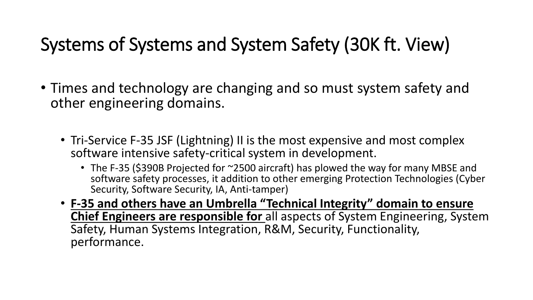### Systems of Systems and System Safety (30K ft. View)

- Times and technology are changing and so must system safety and other engineering domains.
	- Tri-Service F-35 JSF (Lightning) II is the most expensive and most complex software intensive safety-critical system in development.
		- The F-35 (\$390B Projected for ~2500 aircraft) has plowed the way for many MBSE and software safety processes, it addition to other emerging Protection Technologies (Cyber Security, Software Security, IA, Anti-tamper)
	- **F-35 and others have an Umbrella "Technical Integrity" domain to ensure Chief Engineers are responsible for** all aspects of System Engineering, System Safety, Human Systems Integration, R&M, Security, Functionality, performance.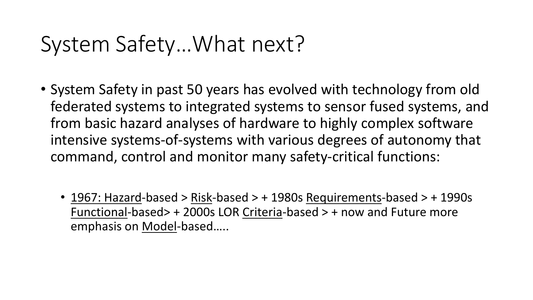# System Safety…What next?

- System Safety in past 50 years has evolved with technology from old federated systems to integrated systems to sensor fused systems, and from basic hazard analyses of hardware to highly complex software intensive systems-of-systems with various degrees of autonomy that command, control and monitor many safety-critical functions:
	- 1967: Hazard-based > Risk-based > + 1980s Requirements-based > + 1990s Functional-based> + 2000s LOR Criteria-based > + now and Future more emphasis on Model-based…..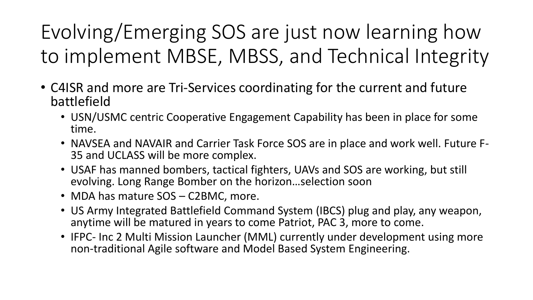Evolving/Emerging SOS are just now learning how to implement MBSE, MBSS, and Technical Integrity

- C4ISR and more are Tri-Services coordinating for the current and future battlefield
	- USN/USMC centric Cooperative Engagement Capability has been in place for some time.
	- NAVSEA and NAVAIR and Carrier Task Force SOS are in place and work well. Future F-35 and UCLASS will be more complex.
	- USAF has manned bombers, tactical fighters, UAVs and SOS are working, but still evolving. Long Range Bomber on the horizon…selection soon
	- MDA has mature SOS C2BMC, more.
	- US Army Integrated Battlefield Command System (IBCS) plug and play, any weapon, anytime will be matured in years to come Patriot, PAC 3, more to come.
	- IFPC- Inc 2 Multi Mission Launcher (MML) currently under development using more non-traditional Agile software and Model Based System Engineering.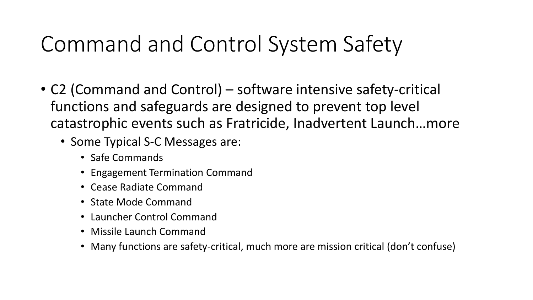# Command and Control System Safety

- C2 (Command and Control) software intensive safety-critical functions and safeguards are designed to prevent top level catastrophic events such as Fratricide, Inadvertent Launch…more
	- Some Typical S-C Messages are:
		- Safe Commands
		- Engagement Termination Command
		- Cease Radiate Command
		- State Mode Command
		- Launcher Control Command
		- Missile Launch Command
		- Many functions are safety-critical, much more are mission critical (don't confuse)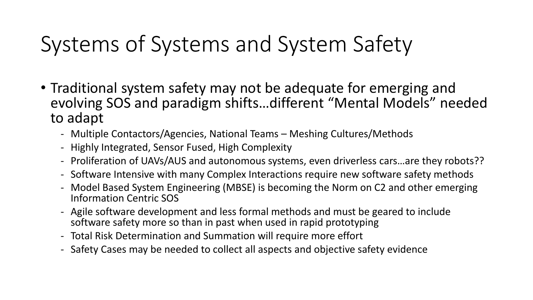# Systems of Systems and System Safety

- Traditional system safety may not be adequate for emerging and evolving SOS and paradigm shifts…different "Mental Models" needed to adapt
	- Multiple Contactors/Agencies, National Teams Meshing Cultures/Methods
	- Highly Integrated, Sensor Fused, High Complexity
	- Proliferation of UAVs/AUS and autonomous systems, even driverless cars…are they robots??
	- Software Intensive with many Complex Interactions require new software safety methods
	- Model Based System Engineering (MBSE) is becoming the Norm on C2 and other emerging Information Centric SOS
	- Agile software development and less formal methods and must be geared to include software safety more so than in past when used in rapid prototyping
	- Total Risk Determination and Summation will require more effort
	- Safety Cases may be needed to collect all aspects and objective safety evidence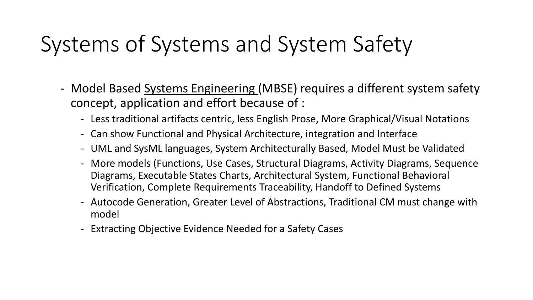# Systems of Systems and System Safety

- Model Based Systems Engineering (MBSE) requires a different system safety concept, application and effort because of :
	- Less traditional artifacts centric, less English Prose, More Graphical/Visual Notations
	- Can show Functional and Physical Architecture, integration and Interface
	- UML and SysML languages, System Architecturally Based, Model Must be Validated
	- More models (Functions, Use Cases, Structural Diagrams, Activity Diagrams, Sequence Diagrams, Executable States Charts, Architectural System, Functional Behavioral Verification, Complete Requirements Traceability, Handoff to Defined Systems
	- Autocode Generation, Greater Level of Abstractions, Traditional CM must change with model
	- Extracting Objective Evidence Needed for a Safety Cases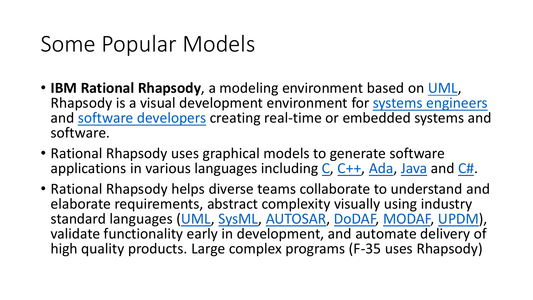# Some Popular Models

- **IBM Rational Rhapsody**, a modeling environment based on [UML,](https://en.wikipedia.org/wiki/Unified_Modeling_Language) Rhapsody is a visual development environment for [systems engineers](https://en.wikipedia.org/wiki/Systems_engineering) and [software developers](https://en.wikipedia.org/wiki/Software_developer) creating real-time or embedded systems and software.
- Rational Rhapsody uses graphical models to generate software applications in various languages including [C,](https://en.wikipedia.org/wiki/C_(programming_language)) [C++,](https://en.wikipedia.org/wiki/C++) [Ada,](https://en.wikipedia.org/wiki/Ada_(programming_language)) [Java](https://en.wikipedia.org/wiki/Java_(programming_language)) and [C#.](https://en.wikipedia.org/wiki/C_Sharp_(programming_language))
- Rational Rhapsody helps diverse teams collaborate to understand and elaborate requirements, abstract complexity visually using industry standard languages [\(UML,](https://en.wikipedia.org/wiki/Unified_Modeling_Language) [SysML](https://en.wikipedia.org/wiki/Systems_Modeling_Language), [AUTOSAR,](https://en.wikipedia.org/wiki/AUTOSAR) [DoDAF,](https://en.wikipedia.org/wiki/Department_of_Defense_Architecture_Framework) [MODAF,](https://en.wikipedia.org/wiki/MODAF) [UPDM\)](https://en.wikipedia.org/wiki/UPDM), validate functionality early in development, and automate delivery of high quality products. Large complex programs (F-35 uses Rhapsody)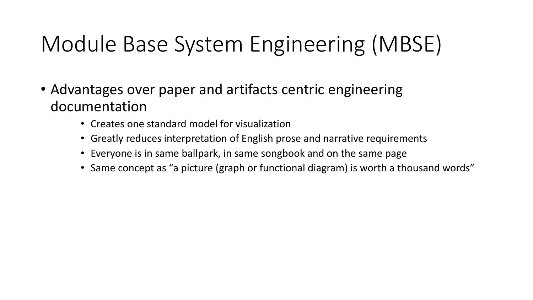# Module Base System Engineering (MBSE)

- Advantages over paper and artifacts centric engineering documentation
	- Creates one standard model for visualization
	- Greatly reduces interpretation of English prose and narrative requirements
	- Everyone is in same ballpark, in same songbook and on the same page
	- Same concept as "a picture (graph or functional diagram) is worth a thousand words"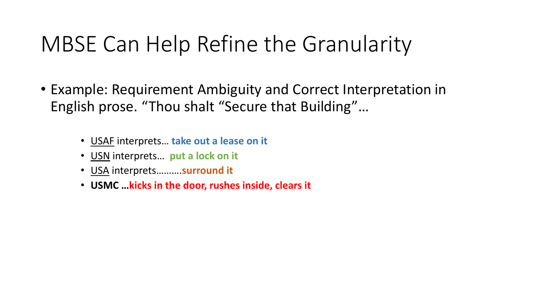# MBSE Can Help Refine the Granularity

- Example: Requirement Ambiguity and Correct Interpretation in English prose. "Thou shalt "Secure that Building"…
	- USAF interprets… **take out a lease on it**
	- USN interprets… **put a lock on it**
	- USA interprets……….**surround it**
	- **USMC …kicks in the door, rushes inside, clears it**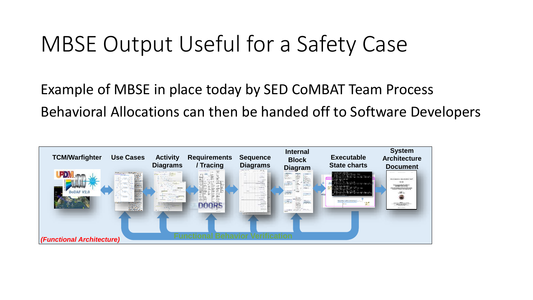# MBSE Output Useful for a Safety Case

Example of MBSE in place today by SED CoMBAT Team Process Behavioral Allocations can then be handed off to Software Developers

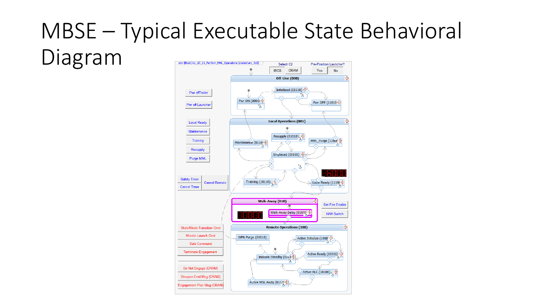#### MBSE – Typical Executable State Behavioral Diagramstm [Block] Uc\_UC\_01\_Perform\_MML\_Operations [statechart\_315] Select C2 Pre-Position Launcher?

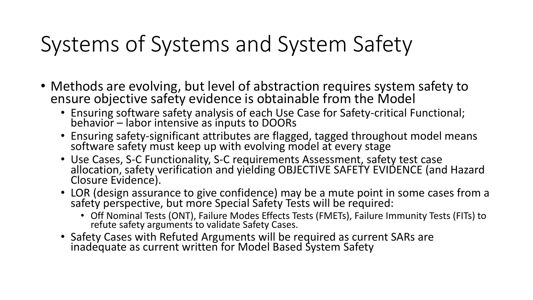# Systems of Systems and System Safety

- Methods are evolving, but level of abstraction requires system safety to ensure objective safety evidence is obtainable from the Model
	- Ensuring software safety analysis of each Use Case for Safety-critical Functional; behavior – labor intensive as inputs to DOORs
	- Ensuring safety-significant attributes are flagged, tagged throughout model means software safety must keep up with evolving model at every stage
	- Use Cases, S-C Functionality, S-C requirements Assessment, safety test case allocation, safety verification and yielding OBJECTIVE SAFETY EVIDENCE (and Hazard Closure Evidence).
	- LOR (design assurance to give confidence) may be a mute point in some cases from a safety perspective, but more Special Safety Tests will be required:
		- Off Nominal Tests (ONT), Failure Modes Effects Tests (FMETs), Failure Immunity Tests (FITs) to refute safety arguments to validate Safety Cases.
	- Safety Cases with Refuted Arguments will be required as current SARs are inadequate as current written for Model Based System Safety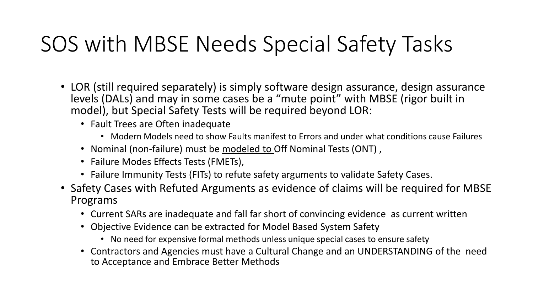# SOS with MBSE Needs Special Safety Tasks

- LOR (still required separately) is simply software design assurance, design assurance levels (DALs) and may in some cases be a "mute point" with MBSE (rigor built in model), but Special Safety Tests will be required beyond LOR:
	- Fault Trees are Often inadequate
		- Modern Models need to show Faults manifest to Errors and under what conditions cause Failures
	- Nominal (non-failure) must be modeled to Off Nominal Tests (ONT) ,
	- Failure Modes Effects Tests (FMETs),
	- Failure Immunity Tests (FITs) to refute safety arguments to validate Safety Cases.
- Safety Cases with Refuted Arguments as evidence of claims will be required for MBSE Programs
	- Current SARs are inadequate and fall far short of convincing evidence as current written
	- Objective Evidence can be extracted for Model Based System Safety
		- No need for expensive formal methods unless unique special cases to ensure safety
	- Contractors and Agencies must have a Cultural Change and an UNDERSTANDING of the need to Acceptance and Embrace Better Methods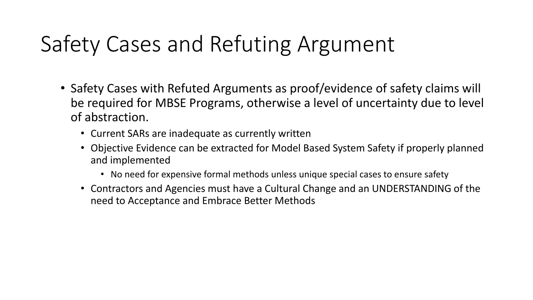# Safety Cases and Refuting Argument

- Safety Cases with Refuted Arguments as proof/evidence of safety claims will be required for MBSE Programs, otherwise a level of uncertainty due to level of abstraction.
	- Current SARs are inadequate as currently written
	- Objective Evidence can be extracted for Model Based System Safety if properly planned and implemented
		- No need for expensive formal methods unless unique special cases to ensure safety
	- Contractors and Agencies must have a Cultural Change and an UNDERSTANDING of the need to Acceptance and Embrace Better Methods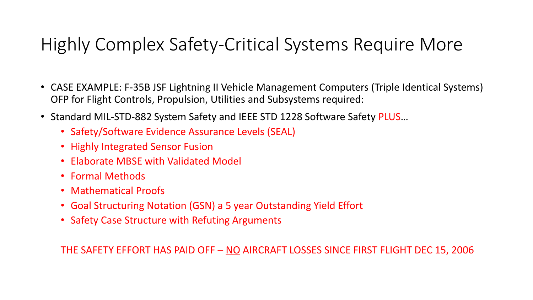#### Highly Complex Safety-Critical Systems Require More

- CASE EXAMPLE: F-35B JSF Lightning II Vehicle Management Computers (Triple Identical Systems) OFP for Flight Controls, Propulsion, Utilities and Subsystems required:
- Standard MIL-STD-882 System Safety and IEEE STD 1228 Software Safety PLUS...
	- Safety/Software Evidence Assurance Levels (SEAL)
	- Highly Integrated Sensor Fusion
	- Elaborate MBSE with Validated Model
	- Formal Methods
	- Mathematical Proofs
	- Goal Structuring Notation (GSN) a 5 year Outstanding Yield Effort
	- Safety Case Structure with Refuting Arguments

THE SAFETY EFFORT HAS PAID OFF – NO AIRCRAFT LOSSES SINCE FIRST FLIGHT DEC 15, 2006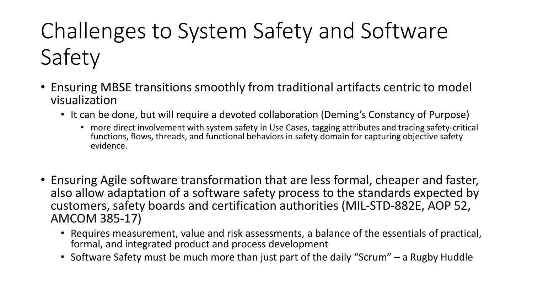# Challenges to System Safety and Software Safety

- Ensuring MBSE transitions smoothly from traditional artifacts centric to model visualization
	- It can be done, but will require a devoted collaboration (Deming's Constancy of Purpose)
		- more direct involvement with system safety in Use Cases, tagging attributes and tracing safety-critical functions, flows, threads, and functional behaviors in safety domain for capturing objective safety evidence.
- Ensuring Agile software transformation that are less formal, cheaper and faster, also allow adaptation of a software safety process to the standards expected by customers, safety boards and certification authorities (MIL-STD-882E, AOP 52, AMCOM 385-17)
	- Requires measurement, value and risk assessments, a balance of the essentials of practical, formal, and integrated product and process development
	- Software Safety must be much more than just part of the daily "Scrum" a Rugby Huddle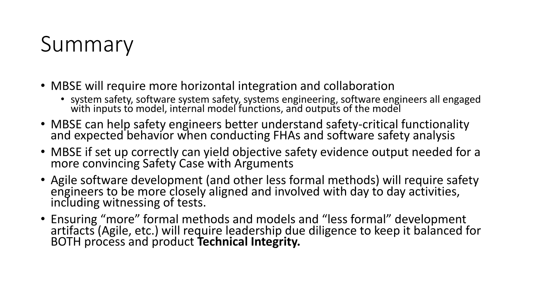# Summary

- MBSE will require more horizontal integration and collaboration
	- system safety, software system safety, systems engineering, software engineers all engaged with inputs to model, internal model functions, and outputs of the model  $\,$
- MBSE can help safety engineers better understand safety-critical functionality and expected behavior when conducting FHAs and software safety analysis
- MBSE if set up correctly can yield objective safety evidence output needed for a more convincing Safety Case with Arguments
- Agile software development (and other less formal methods) will require safety engineers to be more closely aligned and involved with day to day activities, including witnessing of tests.
- Ensuring "more" formal methods and models and "less formal" development artifacts (Agile, etc.) will require leadership due diligence to keep it balanced for BOTH process and product **Technical Integrity.**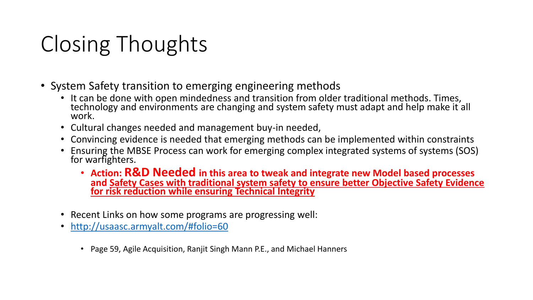# Closing Thoughts

- System Safety transition to emerging engineering methods
	- It can be done with open mindedness and transition from older traditional methods. Times, technology and environments are changing and system safety must adapt and help make it all work.
	- Cultural changes needed and management buy-in needed,
	- Convincing evidence is needed that emerging methods can be implemented within constraints
	- Ensuring the MBSE Process can work for emerging complex integrated systems of systems (SOS) for warfighters.
		- **Action: R&D Needed in this area to tweak and integrate new Model based processes and Safety Cases with traditional system safety to ensure better Objective Safety Evidence for risk reduction while ensuring Technical Integrity**
	- Recent Links on how some programs are progressing well:
	- <http://usaasc.armyalt.com/#folio=60>
		- Page 59, Agile Acquisition, Ranjit Singh Mann P.E., and Michael Hanners